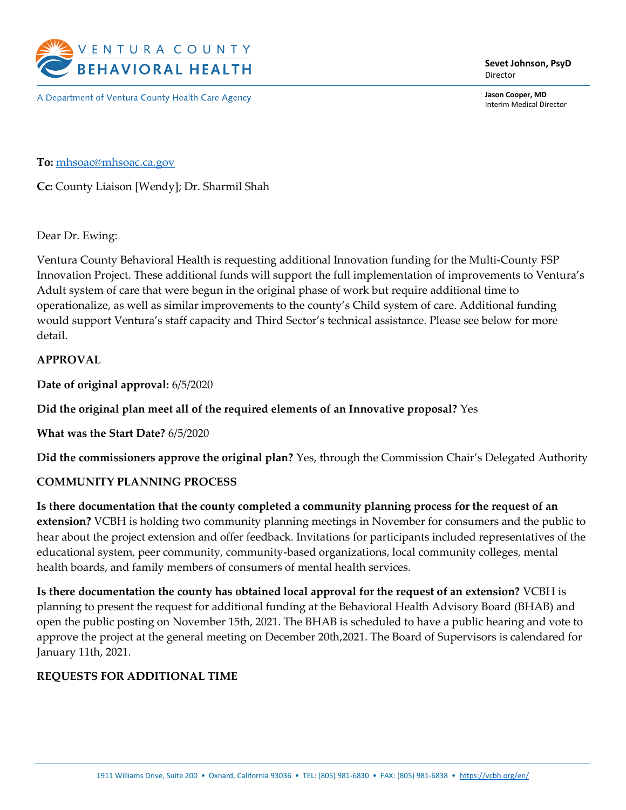

A Department of Ventura County Health Care Agency

Sevet Johnson, PsyD Director

Jason Cooper, MD Interim Medical Director

To: mhsoac@mhsoac.ca.gov

Cc: County Liaison [Wendy]; Dr. Sharmil Shah

#### Dear Dr. Ewing:

Ventura County Behavioral Health is requesting additional Innovation funding for the Multi-County FSP Innovation Project. These additional funds will support the full implementation of improvements to Ventura's Adult system of care that were begun in the original phase of work but require additional time to operationalize, as well as similar improvements to the county's Child system of care. Additional funding would support Ventura's staff capacity and Third Sector's technical assistance. Please see below for more detail.

#### APPROVAL

Date of original approval: 6/5/2020

Did the original plan meet all of the required elements of an Innovative proposal? Yes

What was the Start Date? 6/5/2020

Did the commissioners approve the original plan? Yes, through the Commission Chair's Delegated Authority

#### COMMUNITY PLANNING PROCESS

Is there documentation that the county completed a community planning process for the request of an extension? VCBH is holding two community planning meetings in November for consumers and the public to hear about the project extension and offer feedback. Invitations for participants included representatives of the educational system, peer community, community-based organizations, local community colleges, mental health boards, and family members of consumers of mental health services.

Is there documentation the county has obtained local approval for the request of an extension? VCBH is planning to present the request for additional funding at the Behavioral Health Advisory Board (BHAB) and open the public posting on November 15th, 2021. The BHAB is scheduled to have a public hearing and vote to approve the project at the general meeting on December 20th,2021. The Board of Supervisors is calendared for January 11th, 2021.

#### REQUESTS FOR ADDITIONAL TIME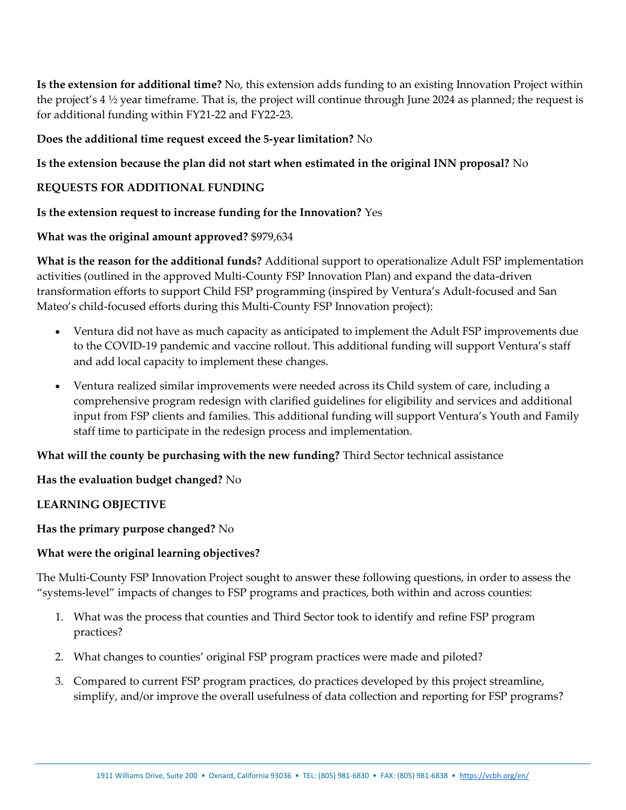Is the extension for additional time? No, this extension adds funding to an existing Innovation Project within the project's 4 ½ year timeframe. That is, the project will continue through June 2024 as planned; the request is for additional funding within FY21-22 and FY22-23.

## Does the additional time request exceed the 5-year limitation? No

## Is the extension because the plan did not start when estimated in the original INN proposal? No

## REQUESTS FOR ADDITIONAL FUNDING

#### Is the extension request to increase funding for the Innovation? Yes

## What was the original amount approved? \$979,634

What is the reason for the additional funds? Additional support to operationalize Adult FSP implementation activities (outlined in the approved Multi-County FSP Innovation Plan) and expand the data-driven transformation efforts to support Child FSP programming (inspired by Ventura's Adult-focused and San Mateo's child-focused efforts during this Multi-County FSP Innovation project):

- Ventura did not have as much capacity as anticipated to implement the Adult FSP improvements due to the COVID-19 pandemic and vaccine rollout. This additional funding will support Ventura's staff and add local capacity to implement these changes.
- Ventura realized similar improvements were needed across its Child system of care, including a comprehensive program redesign with clarified guidelines for eligibility and services and additional input from FSP clients and families. This additional funding will support Ventura's Youth and Family staff time to participate in the redesign process and implementation.

What will the county be purchasing with the new funding? Third Sector technical assistance

Has the evaluation budget changed? No

#### LEARNING OBJECTIVE

#### Has the primary purpose changed? No

#### What were the original learning objectives?

The Multi-County FSP Innovation Project sought to answer these following questions, in order to assess the "systems-level" impacts of changes to FSP programs and practices, both within and across counties:

- 1. What was the process that counties and Third Sector took to identify and refine FSP program practices?
- 2. What changes to counties' original FSP program practices were made and piloted?
- 3. Compared to current FSP program practices, do practices developed by this project streamline, simplify, and/or improve the overall usefulness of data collection and reporting for FSP programs?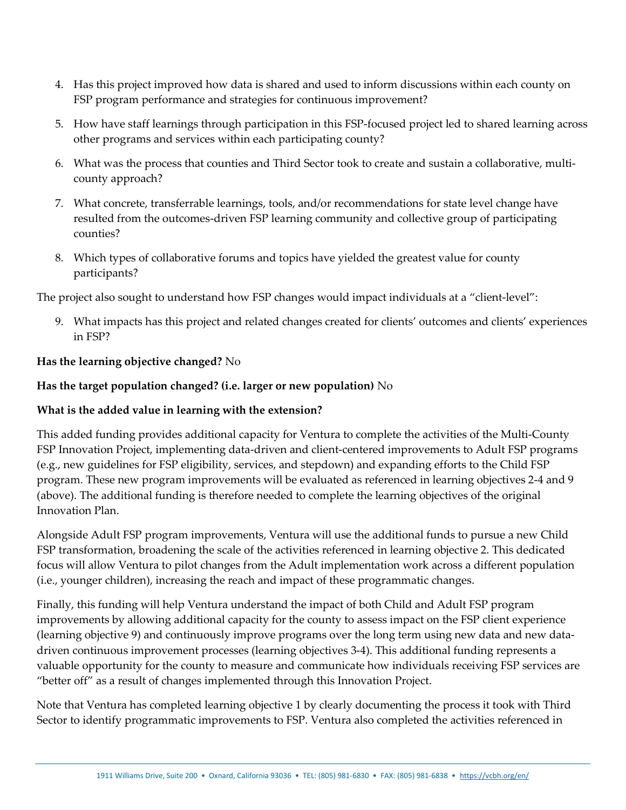- 4. Has this project improved how data is shared and used to inform discussions within each county on FSP program performance and strategies for continuous improvement?
- 5. How have staff learnings through participation in this FSP-focused project led to shared learning across other programs and services within each participating county?
- 6. What was the process that counties and Third Sector took to create and sustain a collaborative, multicounty approach?
- 7. What concrete, transferrable learnings, tools, and/or recommendations for state level change have resulted from the outcomes-driven FSP learning community and collective group of participating counties?
- 8. Which types of collaborative forums and topics have yielded the greatest value for county participants?

The project also sought to understand how FSP changes would impact individuals at a "client-level":

9. What impacts has this project and related changes created for clients' outcomes and clients' experiences in FSP?

## Has the learning objective changed? No

## Has the target population changed? (i.e. larger or new population) No

#### What is the added value in learning with the extension?

This added funding provides additional capacity for Ventura to complete the activities of the Multi-County FSP Innovation Project, implementing data-driven and client-centered improvements to Adult FSP programs (e.g., new guidelines for FSP eligibility, services, and stepdown) and expanding efforts to the Child FSP program. These new program improvements will be evaluated as referenced in learning objectives 2-4 and 9 (above). The additional funding is therefore needed to complete the learning objectives of the original Innovation Plan.

Alongside Adult FSP program improvements, Ventura will use the additional funds to pursue a new Child FSP transformation, broadening the scale of the activities referenced in learning objective 2. This dedicated focus will allow Ventura to pilot changes from the Adult implementation work across a different population (i.e., younger children), increasing the reach and impact of these programmatic changes.

Finally, this funding will help Ventura understand the impact of both Child and Adult FSP program improvements by allowing additional capacity for the county to assess impact on the FSP client experience (learning objective 9) and continuously improve programs over the long term using new data and new datadriven continuous improvement processes (learning objectives 3-4). This additional funding represents a valuable opportunity for the county to measure and communicate how individuals receiving FSP services are "better off" as a result of changes implemented through this Innovation Project.

Note that Ventura has completed learning objective 1 by clearly documenting the process it took with Third Sector to identify programmatic improvements to FSP. Ventura also completed the activities referenced in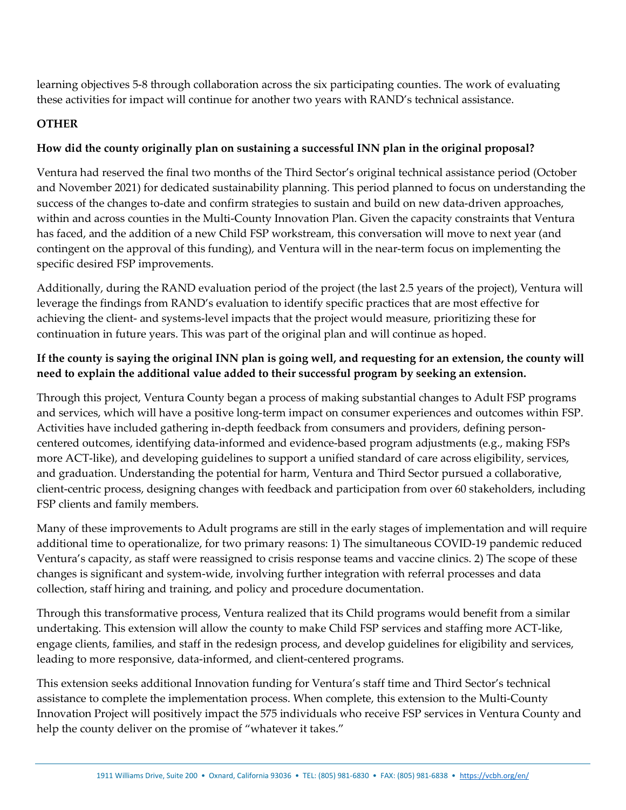learning objectives 5-8 through collaboration across the six participating counties. The work of evaluating these activities for impact will continue for another two years with RAND's technical assistance.

## **OTHER**

# How did the county originally plan on sustaining a successful INN plan in the original proposal?

Ventura had reserved the final two months of the Third Sector's original technical assistance period (October and November 2021) for dedicated sustainability planning. This period planned to focus on understanding the success of the changes to-date and confirm strategies to sustain and build on new data-driven approaches, within and across counties in the Multi-County Innovation Plan. Given the capacity constraints that Ventura has faced, and the addition of a new Child FSP workstream, this conversation will move to next year (and contingent on the approval of this funding), and Ventura will in the near-term focus on implementing the specific desired FSP improvements.

Additionally, during the RAND evaluation period of the project (the last 2.5 years of the project), Ventura will leverage the findings from RAND's evaluation to identify specific practices that are most effective for achieving the client- and systems-level impacts that the project would measure, prioritizing these for continuation in future years. This was part of the original plan and will continue as hoped.

# If the county is saying the original INN plan is going well, and requesting for an extension, the county will need to explain the additional value added to their successful program by seeking an extension.

Through this project, Ventura County began a process of making substantial changes to Adult FSP programs and services, which will have a positive long-term impact on consumer experiences and outcomes within FSP. Activities have included gathering in-depth feedback from consumers and providers, defining personcentered outcomes, identifying data-informed and evidence-based program adjustments (e.g., making FSPs more ACT-like), and developing guidelines to support a unified standard of care across eligibility, services, and graduation. Understanding the potential for harm, Ventura and Third Sector pursued a collaborative, client-centric process, designing changes with feedback and participation from over 60 stakeholders, including FSP clients and family members.

Many of these improvements to Adult programs are still in the early stages of implementation and will require additional time to operationalize, for two primary reasons: 1) The simultaneous COVID-19 pandemic reduced Ventura's capacity, as staff were reassigned to crisis response teams and vaccine clinics. 2) The scope of these changes is significant and system-wide, involving further integration with referral processes and data collection, staff hiring and training, and policy and procedure documentation.

Through this transformative process, Ventura realized that its Child programs would benefit from a similar undertaking. This extension will allow the county to make Child FSP services and staffing more ACT-like, engage clients, families, and staff in the redesign process, and develop guidelines for eligibility and services, leading to more responsive, data-informed, and client-centered programs.

This extension seeks additional Innovation funding for Ventura's staff time and Third Sector's technical assistance to complete the implementation process. When complete, this extension to the Multi-County Innovation Project will positively impact the 575 individuals who receive FSP services in Ventura County and help the county deliver on the promise of "whatever it takes."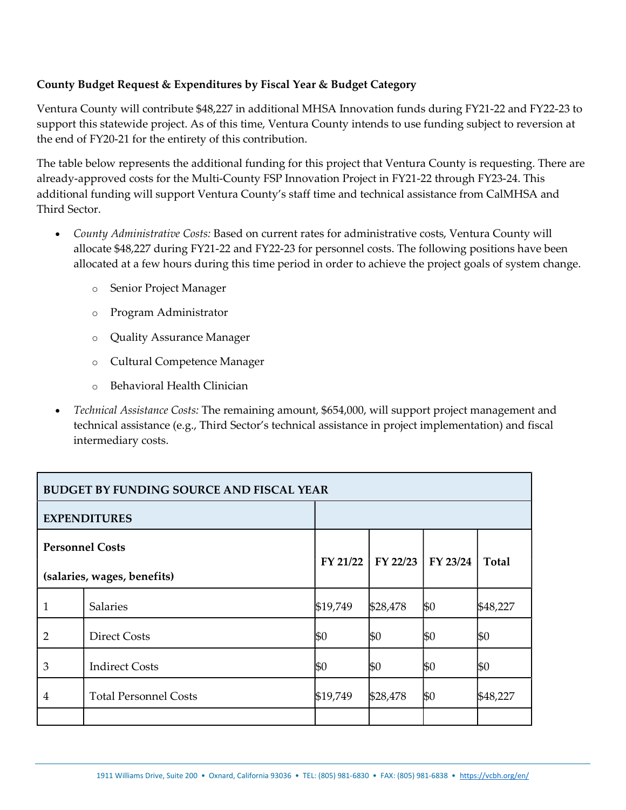## County Budget Request & Expenditures by Fiscal Year & Budget Category

Ventura County will contribute \$48,227 in additional MHSA Innovation funds during FY21-22 and FY22-23 to support this statewide project. As of this time, Ventura County intends to use funding subject to reversion at the end of FY20-21 for the entirety of this contribution.

The table below represents the additional funding for this project that Ventura County is requesting. There are already-approved costs for the Multi-County FSP Innovation Project in FY21-22 through FY23-24. This additional funding will support Ventura County's staff time and technical assistance from CalMHSA and Third Sector.

- County Administrative Costs: Based on current rates for administrative costs, Ventura County will allocate \$48,227 during FY21-22 and FY22-23 for personnel costs. The following positions have been allocated at a few hours during this time period in order to achieve the project goals of system change.
	- o Senior Project Manager
	- o Program Administrator
	- o Quality Assurance Manager
	- o Cultural Competence Manager
	- o Behavioral Health Clinician
- Technical Assistance Costs: The remaining amount, \$654,000, will support project management and technical assistance (e.g., Third Sector's technical assistance in project implementation) and fiscal intermediary costs.

| <b>BUDGET BY FUNDING SOURCE AND FISCAL YEAR</b>       |                              |            |            |          |              |  |  |
|-------------------------------------------------------|------------------------------|------------|------------|----------|--------------|--|--|
| <b>EXPENDITURES</b>                                   |                              |            |            |          |              |  |  |
| <b>Personnel Costs</b><br>(salaries, wages, benefits) |                              | $FY$ 21/22 | $FY$ 22/23 | FY 23/24 | <b>Total</b> |  |  |
| 1                                                     | <b>Salaries</b>              | \$19,749   | \$28,478   | \$0      | \$48,227     |  |  |
| 2                                                     | <b>Direct Costs</b>          | \$0        | \$0        | \$0      | \$0          |  |  |
| 3                                                     | <b>Indirect Costs</b>        | \$0        | \$0        | \$0      | \$0          |  |  |
| 4                                                     | <b>Total Personnel Costs</b> | \$19,749   | \$28,478   | \$0      | \$48,227     |  |  |
|                                                       |                              |            |            |          |              |  |  |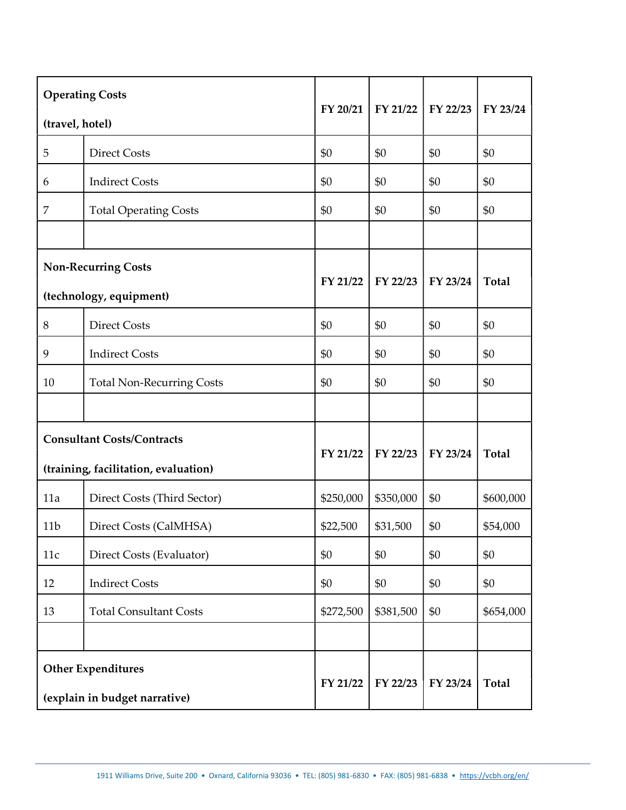| <b>Operating Costs</b>                                     |                                  | FY 20/21  | FY 21/22  | FY 22/23 | FY 23/24     |
|------------------------------------------------------------|----------------------------------|-----------|-----------|----------|--------------|
| (travel, hotel)                                            |                                  |           |           |          |              |
| 5                                                          | <b>Direct Costs</b>              | \$0       | \$0       | \$0      | \$0          |
| 6                                                          | <b>Indirect Costs</b>            | \$0       | \$0       | \$0      | \$0          |
| 7                                                          | <b>Total Operating Costs</b>     | \$0       | \$0       | \$0      | \$0          |
|                                                            |                                  |           |           |          |              |
| <b>Non-Recurring Costs</b><br>(technology, equipment)      |                                  | FY 21/22  | FY 22/23  | FY 23/24 | <b>Total</b> |
| $8\,$                                                      | <b>Direct Costs</b>              | \$0       | \$0       | \$0      | \$0          |
| 9                                                          | <b>Indirect Costs</b>            | \$0       | \$0       | \$0      | \$0          |
| 10                                                         | <b>Total Non-Recurring Costs</b> | \$0       | \$0       | \$0      | \$0          |
|                                                            |                                  |           |           |          |              |
| <b>Consultant Costs/Contracts</b>                          |                                  | FY 21/22  | FY 22/23  | FY 23/24 | <b>Total</b> |
| (training, facilitation, evaluation)                       |                                  |           |           |          |              |
| 11a                                                        | Direct Costs (Third Sector)      | \$250,000 | \$350,000 | \$0      | \$600,000    |
| 11 <sub>b</sub>                                            | Direct Costs (CalMHSA)           | \$22,500  | \$31,500  | \$0      | \$54,000     |
| 11c                                                        | Direct Costs (Evaluator)         | \$0       | \$0       | \$0      | \$0          |
| 12                                                         | <b>Indirect Costs</b>            | \$0       | \$0       | \$0      | \$0          |
| 13                                                         | <b>Total Consultant Costs</b>    | \$272,500 | \$381,500 | \$0      | \$654,000    |
|                                                            |                                  |           |           |          |              |
| <b>Other Expenditures</b><br>(explain in budget narrative) |                                  | FY 21/22  | FY 22/23  | FY 23/24 | <b>Total</b> |